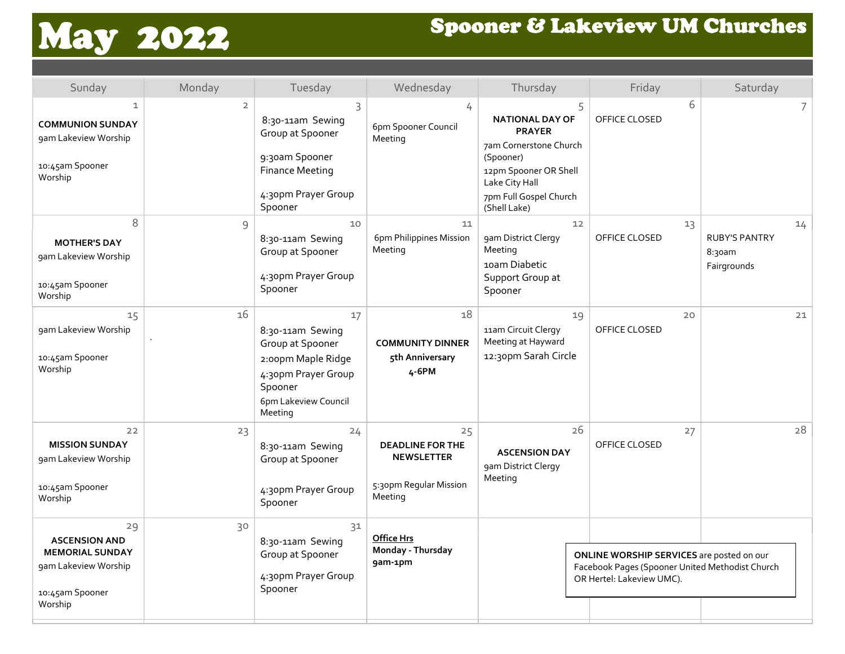## May 2022 Spooner & Lakeview UM Churches

| Sunday                                                                                                     | Monday         | Tuesday                                                                                                                               | Wednesday                                                                               | Thursday                                                                                                                                                                 | Friday                                                                                                                    | Saturday                                            |
|------------------------------------------------------------------------------------------------------------|----------------|---------------------------------------------------------------------------------------------------------------------------------------|-----------------------------------------------------------------------------------------|--------------------------------------------------------------------------------------------------------------------------------------------------------------------------|---------------------------------------------------------------------------------------------------------------------------|-----------------------------------------------------|
| 1<br><b>COMMUNION SUNDAY</b><br>gam Lakeview Worship<br>10:45am Spooner<br>Worship                         | $\overline{2}$ | 3<br>8:30-11am Sewing<br>Group at Spooner<br>9:30am Spooner<br><b>Finance Meeting</b><br>4:30pm Prayer Group<br>Spooner               | 4<br>6pm Spooner Council<br>Meeting                                                     | 5<br><b>NATIONAL DAY OF</b><br><b>PRAYER</b><br>7am Cornerstone Church<br>(Spooner)<br>12pm Spooner OR Shell<br>Lake City Hall<br>7pm Full Gospel Church<br>(Shell Lake) | 6<br>OFFICE CLOSED                                                                                                        | 7                                                   |
| 8<br><b>MOTHER'S DAY</b><br>gam Lakeview Worship<br>10:45am Spooner<br>Worship                             | 9              | 10<br>8:30-11am Sewing<br>Group at Spooner<br>4:30pm Prayer Group<br>Spooner                                                          | 11<br>6pm Philippines Mission<br>Meeting                                                | 12<br>gam District Clergy<br>Meeting<br>10am Diabetic<br>Support Group at<br>Spooner                                                                                     | 13<br>OFFICE CLOSED                                                                                                       | 14<br><b>RUBY'S PANTRY</b><br>8:30am<br>Fairgrounds |
| 15<br>gam Lakeview Worship<br>10:45am Spooner<br>Worship                                                   | 16             | 17<br>8:30-11am Sewing<br>Group at Spooner<br>2:00pm Maple Ridge<br>4:30pm Prayer Group<br>Spooner<br>6pm Lakeview Council<br>Meeting | 18<br><b>COMMUNITY DINNER</b><br>5th Anniversary<br>4-6PM                               | 19<br>11am Circuit Clergy<br>Meeting at Hayward<br>12:30pm Sarah Circle                                                                                                  | 20<br>OFFICE CLOSED                                                                                                       | 21                                                  |
| 22<br><b>MISSION SUNDAY</b><br>gam Lakeview Worship<br>10:45am Spooner<br>Worship                          | 23             | 24<br>8:30-11am Sewing<br>Group at Spooner<br>4:30pm Prayer Group<br>Spooner                                                          | 25<br><b>DEADLINE FOR THE</b><br><b>NEWSLETTER</b><br>5:30pm Regular Mission<br>Meeting | 26<br><b>ASCENSION DAY</b><br>gam District Clergy<br>Meeting                                                                                                             | 27<br>OFFICE CLOSED                                                                                                       | 28                                                  |
| 29<br><b>ASCENSION AND</b><br><b>MEMORIAL SUNDAY</b><br>9am Lakeview Worship<br>10:45am Spooner<br>Worship | 30             | 31<br>8:30-11am Sewing<br>Group at Spooner<br>4:30pm Prayer Group<br>Spooner                                                          | <b>Office Hrs</b><br>Monday - Thursday<br>9am-1pm                                       |                                                                                                                                                                          | ONLINE WORSHIP SERVICES are posted on our<br>Facebook Pages (Spooner United Methodist Church<br>OR Hertel: Lakeview UMC). |                                                     |